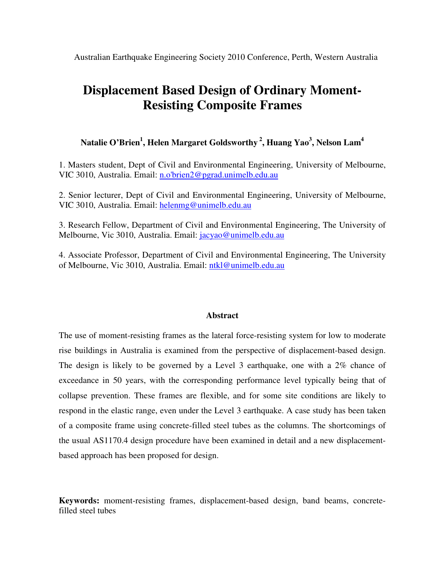Australian Earthquake Engineering Society 2010 Conference, Perth, Western Australia

# **Displacement Based Design of Ordinary Moment-Resisting Composite Frames**

**Natalie O'Brien 1 , Helen Margaret Goldsworthy 2 , Huang Yao 3 , Nelson Lam 4**

1. Masters student, Dept of Civil and Environmental Engineering, University of Melbourne, VIC 3010, Australia. Email: n.o'brien2@pgrad.unimelb.edu.au

2. Senior lecturer, Dept of Civil and Environmental Engineering, University of Melbourne, VIC 3010, Australia. Email: helenmg@unimelb.edu.au

3. Research Fellow, Department of Civil and Environmental Engineering, The University of Melbourne, Vic 3010, Australia. Email: jacyao@unimelb.edu.au

4. Associate Professor, Department of Civil and Environmental Engineering, The University of Melbourne, Vic 3010, Australia. Email: ntkl@unimelb.edu.au

#### **Abstract**

The use of moment-resisting frames as the lateral force-resisting system for low to moderate rise buildings in Australia is examined from the perspective of displacement-based design. The design is likely to be governed by a Level 3 earthquake, one with a 2% chance of exceedance in 50 years, with the corresponding performance level typically being that of collapse prevention. These frames are flexible, and for some site conditions are likely to respond in the elastic range, even under the Level 3 earthquake. A case study has been taken of a composite frame using concrete-filled steel tubes as the columns. The shortcomings of the usual AS1170.4 design procedure have been examined in detail and a new displacementbased approach has been proposed for design.

**Keywords:** moment-resisting frames, displacement-based design, band beams, concretefilled steel tubes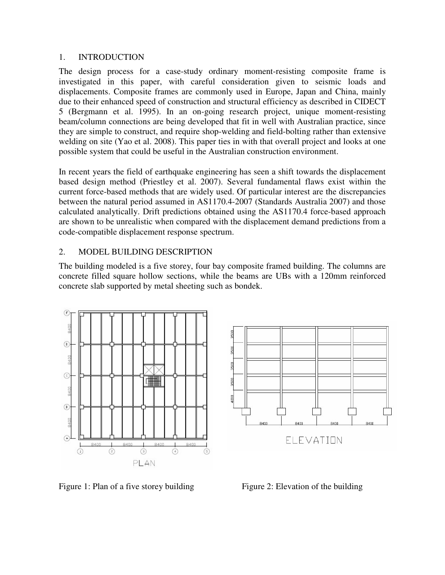#### 1. INTRODUCTION

The design process for a case-study ordinary moment-resisting composite frame is investigated in this paper, with careful consideration given to seismic loads and displacements. Composite frames are commonly used in Europe, Japan and China, mainly due to their enhanced speed of construction and structural efficiency as described in CIDECT 5 (Bergmann et al. 1995). In an on-going research project, unique moment-resisting beam/column connections are being developed that fit in well with Australian practice, since they are simple to construct, and require shop-welding and field-bolting rather than extensive welding on site (Yao et al. 2008). This paper ties in with that overall project and looks at one possible system that could be useful in the Australian construction environment.

In recent years the field of earthquake engineering has seen a shift towards the displacement based design method (Priestley et al. 2007). Several fundamental flaws exist within the current force-based methods that are widely used. Of particular interest are the discrepancies between the natural period assumed in AS1170.4-2007 (Standards Australia 2007) and those calculated analytically. Drift predictions obtained using the AS1170.4 force-based approach are shown to be unrealistic when compared with the displacement demand predictions from a code-compatible displacement response spectrum.

# 2. MODEL BUILDING DESCRIPTION

The building modeled is a five storey, four bay composite framed building. The columns are concrete filled square hollow sections, while the beams are UBs with a 120mm reinforced concrete slab supported by metal sheeting such as bondek.





Figure 1: Plan of a five storey building Figure 2: Elevation of the building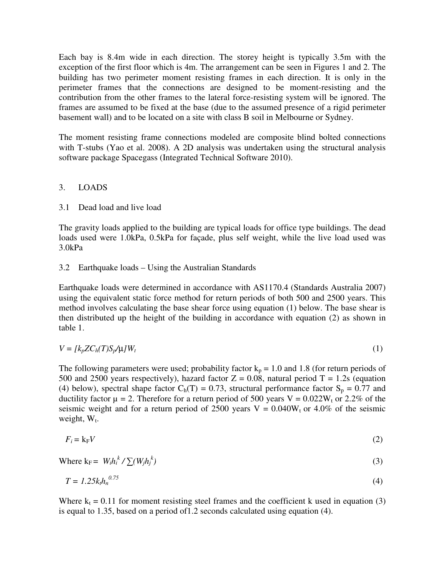Each bay is 8.4m wide in each direction. The storey height is typically 3.5m with the exception of the first floor which is 4m. The arrangement can be seen in Figures 1 and 2. The building has two perimeter moment resisting frames in each direction. It is only in the perimeter frames that the connections are designed to be moment-resisting and the contribution from the other frames to the lateral force-resisting system will be ignored. The frames are assumed to be fixed at the base (due to the assumed presence of a rigid perimeter basement wall) and to be located on a site with class B soil in Melbourne or Sydney.

The moment resisting frame connections modeled are composite blind bolted connections with T-stubs (Yao et al. 2008). A 2D analysis was undertaken using the structural analysis software package Spacegass (Integrated Technical Software 2010).

## 3. LOADS

#### 3.1 Dead load and live load

The gravity loads applied to the building are typical loads for office type buildings. The dead loads used were 1.0kPa, 0.5kPa for façade, plus self weight, while the live load used was 3.0kPa

## 3.2 Earthquake loads – Using the Australian Standards

Earthquake loads were determined in accordance with AS1170.4 (Standards Australia 2007) using the equivalent static force method for return periods of both 500 and 2500 years. This method involves calculating the base shear force using equation (1) below. The base shear is then distributed up the height of the building in accordance with equation (2) as shown in table 1.

$$
V = [k_p Z C_h(T) S_p / \mu] W_t
$$
\n<sup>(1)</sup>

The following parameters were used; probability factor  $k_p = 1.0$  and 1.8 (for return periods of 500 and 2500 years respectively), hazard factor  $Z = 0.08$ , natural period  $T = 1.2$ s (equation (4) below), spectral shape factor  $C_h(T) = 0.73$ , structural performance factor  $S_p = 0.77$  and ductility factor  $\mu = 2$ . Therefore for a return period of 500 years V = 0.022W<sub>t</sub> or 2.2% of the seismic weight and for a return period of 2500 years  $V = 0.040W_t$  or 4.0% of the seismic weight,  $W_t$ .

$$
F_i = k_F V \tag{2}
$$

Where 
$$
k_F = W_i h_i^k / \sum (W_j h_j^k)
$$
 (3)

$$
T = 1.25k_1h_n^{0.75}
$$
 (4)

Where  $k_t = 0.11$  for moment resisting steel frames and the coefficient k used in equation (3) is equal to 1.35, based on a period of1.2 seconds calculated using equation (4).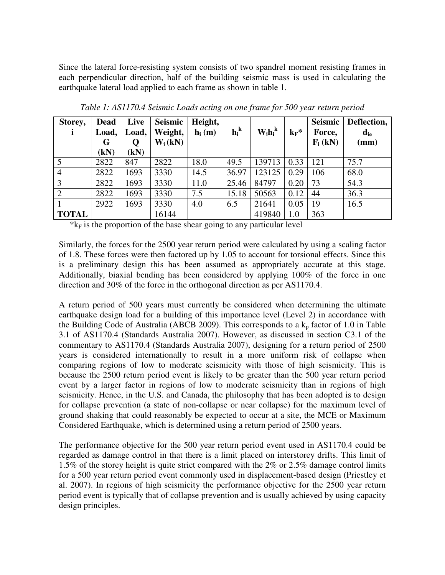Since the lateral force-resisting system consists of two spandrel moment resisting frames in each perpendicular direction, half of the building seismic mass is used in calculating the earthquake lateral load applied to each frame as shown in table 1.

| Storey,        | <b>Dead</b> | Live  | Seismic   | Height,           |         |             |         | Seismic    | Deflection,                |
|----------------|-------------|-------|-----------|-------------------|---------|-------------|---------|------------|----------------------------|
|                | Load,       | Load, | Weight,   | $\mathbf{h}_i(m)$ | $h_i^k$ | $W_i h_i^k$ | $k_F$ * | Force,     | $\mathbf{d}_{\mathrm{ie}}$ |
|                | G           | Q     | $W_i(kN)$ |                   |         |             |         | $F_i$ (kN) | $(\mathbf{mm})$            |
|                | (kN)        | (kN)  |           |                   |         |             |         |            |                            |
| 5              | 2822        | 847   | 2822      | 18.0              | 49.5    | 139713      | 0.33    | 121        | 75.7                       |
| $\overline{4}$ | 2822        | 1693  | 3330      | 14.5              | 36.97   | 123125      | 0.29    | 106        | 68.0                       |
| 3              | 2822        | 1693  | 3330      | 11.0              | 25.46   | 84797       | 0.20    | 73         | 54.3                       |
| $\overline{2}$ | 2822        | 1693  | 3330      | 7.5               | 15.18   | 50563       | 0.12    | 44         | 36.3                       |
|                | 2922        | 1693  | 3330      | 4.0               | 6.5     | 21641       | 0.05    | 19         | 16.5                       |
| <b>TOTAL</b>   |             |       | 16144     |                   |         | 419840      | 1.0     | 363        |                            |

*Table 1: AS1170.4 Seismic Loads acting on one frame for 500 year return period*

 $*_{k_F}$  is the proportion of the base shear going to any particular level

Similarly, the forces for the 2500 year return period were calculated by using a scaling factor of 1.8. These forces were then factored up by 1.05 to account for torsional effects. Since this is a preliminary design this has been assumed as appropriately accurate at this stage. Additionally, biaxial bending has been considered by applying 100% of the force in one direction and 30% of the force in the orthogonal direction as per AS1170.4.

A return period of 500 years must currently be considered when determining the ultimate earthquake design load for a building of this importance level (Level 2) in accordance with the Building Code of Australia (ABCB 2009). This corresponds to a  $k<sub>p</sub>$  factor of 1.0 in Table 3.1 of AS1170.4 (Standards Australia 2007). However, as discussed in section C3.1 of the commentary to AS1170.4 (Standards Australia 2007), designing for a return period of 2500 years is considered internationally to result in a more uniform risk of collapse when comparing regions of low to moderate seismicity with those of high seismicity. This is because the 2500 return period event is likely to be greater than the 500 year return period event by a larger factor in regions of low to moderate seismicity than in regions of high seismicity. Hence, in the U.S. and Canada, the philosophy that has been adopted is to design for collapse prevention (a state of non-collapse or near collapse) for the maximum level of ground shaking that could reasonably be expected to occur at a site, the MCE or Maximum Considered Earthquake, which is determined using a return period of 2500 years.

The performance objective for the 500 year return period event used in AS1170.4 could be regarded as damage control in that there is a limit placed on interstorey drifts. This limit of 1.5% of the storey height is quite strict compared with the 2% or 2.5% damage control limits for a 500 year return period event commonly used in displacement-based design (Priestley et al. 2007). In regions of high seismicity the performance objective for the 2500 year return period event is typically that of collapse prevention and is usually achieved by using capacity design principles.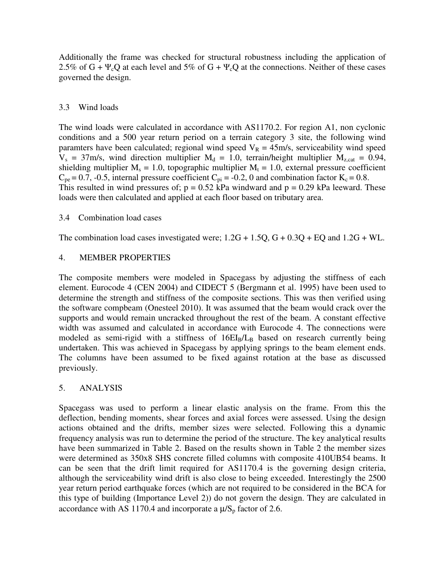Additionally the frame was checked for structural robustness including the application of 2.5% of G +  $\Psi_c Q$  at each level and 5% of G +  $\Psi_c Q$  at the connections. Neither of these cases governed the design.

## 3.3 Wind loads

The wind loads were calculated in accordance with AS1170.2. For region A1, non cyclonic conditions and a 500 year return period on a terrain category 3 site, the following wind paramters have been calculated; regional wind speed  $V_R = 45 \text{m/s}$ , serviceability wind speed  $V_s = 37 \text{m/s}$ , wind direction multiplier  $M_d = 1.0$ , terrain/height multiplier  $M_{z,cat} = 0.94$ , shielding multiplier  $M_s = 1.0$ , topographic multiplier  $M_t = 1.0$ , external pressure coefficient  $C_{pe} = 0.7$ , -0.5, internal pressure coefficient  $C_{pi} = -0.2$ , 0 and combination factor  $K_c = 0.8$ . This resulted in wind pressures of;  $p = 0.52$  kPa windward and  $p = 0.29$  kPa leeward. These loads were then calculated and applied at each floor based on tributary area.

## 3.4 Combination load cases

The combination load cases investigated were;  $1.2G + 1.5Q$ ,  $G + 0.3Q + EQ$  and  $1.2G + WL$ .

## 4. MEMBER PROPERTIES

The composite members were modeled in Spacegass by adjusting the stiffness of each element. Eurocode 4 (CEN 2004) and CIDECT 5 (Bergmann et al. 1995) have been used to determine the strength and stiffness of the composite sections. This was then verified using the software compbeam (Onesteel 2010). It was assumed that the beam would crack over the supports and would remain uncracked throughout the rest of the beam. A constant effective width was assumed and calculated in accordance with Eurocode 4. The connections were modeled as semi-rigid with a stiffness of  $16EI_B/L_B$  based on research currently being undertaken. This was achieved in Spacegass by applying springs to the beam element ends. The columns have been assumed to be fixed against rotation at the base as discussed previously.

# 5. ANALYSIS

Spacegass was used to perform a linear elastic analysis on the frame. From this the deflection, bending moments, shear forces and axial forces were assessed. Using the design actions obtained and the drifts, member sizes were selected. Following this a dynamic frequency analysis was run to determine the period of the structure. The key analytical results have been summarized in Table 2. Based on the results shown in Table 2 the member sizes were determined as 350x8 SHS concrete filled columns with composite 410UB54 beams. It can be seen that the drift limit required for AS1170.4 is the governing design criteria, although the serviceability wind drift is also close to being exceeded. Interestingly the 2500 year return period earthquake forces (which are not required to be considered in the BCA for this type of building (Importance Level 2)) do not govern the design. They are calculated in accordance with AS 1170.4 and incorporate a  $\mu$ /S<sub>p</sub> factor of 2.6.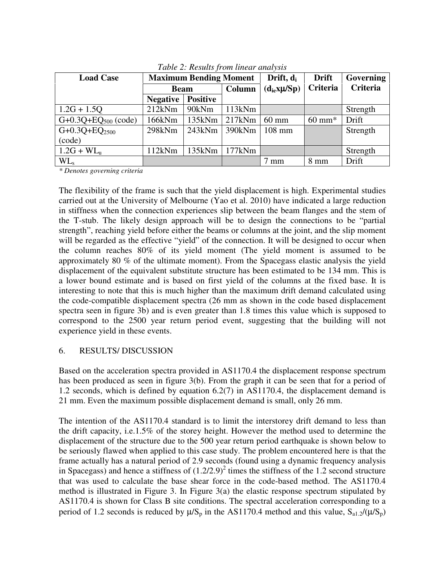| <b>Load Case</b>          |                 | <b>Maximum Bending Moment</b> |        | Drift, d <sub>i</sub> | <b>Drift</b>      | Governing       |
|---------------------------|-----------------|-------------------------------|--------|-----------------------|-------------------|-----------------|
|                           | <b>Beam</b>     |                               | Column | $(d_{ie}x\mu /Sp)$    | Criteria          | <b>Criteria</b> |
|                           | <b>Negative</b> | <b>Positive</b>               |        |                       |                   |                 |
| $1.2G + 1.5Q$             | 212kNm          | 90kNm                         | 113kNm |                       |                   | Strength        |
| G+0.3Q+EQ $_{500}$ (code) | 166kNm          | 135kNm                        | 217kNm | $60 \text{ mm}$       | $60 \text{ mm}^*$ | Drift           |
| $G+0.3Q+EQ_{2500}$        | 298kNm          | 243kNm                        | 390kNm | $108$ mm              |                   | Strength        |
| (code)                    |                 |                               |        |                       |                   |                 |
| $1.2G + WLu$              | 112kNm          | 135kNm                        | 177kNm |                       |                   | Strength        |
| $WL_{s}$                  |                 |                               |        | $7 \text{ mm}$        | 8 mm              | Drift           |

*Table 2: Results from linear analysis*

*\* Denotes governing criteria*

The flexibility of the frame is such that the yield displacement is high. Experimental studies carried out at the University of Melbourne (Yao et al. 2010) have indicated a large reduction in stiffness when the connection experiences slip between the beam flanges and the stem of the T-stub. The likely design approach will be to design the connections to be "partial strength", reaching yield before either the beams or columns at the joint, and the slip moment will be regarded as the effective "yield" of the connection. It will be designed to occur when the column reaches 80% of its yield moment (The yield moment is assumed to be approximately 80 % of the ultimate moment). From the Spacegass elastic analysis the yield displacement of the equivalent substitute structure has been estimated to be 134 mm. This is a lower bound estimate and is based on first yield of the columns at the fixed base. It is interesting to note that this is much higher than the maximum drift demand calculated using the code-compatible displacement spectra (26 mm as shown in the code based displacement spectra seen in figure 3b) and is even greater than 1.8 times this value which is supposed to correspond to the 2500 year return period event, suggesting that the building will not experience yield in these events.

#### 6. RESULTS/ DISCUSSION

Based on the acceleration spectra provided in AS1170.4 the displacement response spectrum has been produced as seen in figure 3(b). From the graph it can be seen that for a period of 1.2 seconds, which is defined by equation 6.2(7) in AS1170.4, the displacement demand is 21 mm. Even the maximum possible displacement demand is small, only 26 mm.

The intention of the AS1170.4 standard is to limit the interstorey drift demand to less than the drift capacity, i.e.1.5% of the storey height. However the method used to determine the displacement of the structure due to the 500 year return period earthquake is shown below to be seriously flawed when applied to this case study. The problem encountered here is that the frame actually has a natural period of 2.9 seconds (found using a dynamic frequency analysis in Spacegass) and hence a stiffness of  $(1.2/2.9)^2$  times the stiffness of the 1.2 second structure that was used to calculate the base shear force in the code-based method. The AS1170.4 method is illustrated in Figure 3. In Figure 3(a) the elastic response spectrum stipulated by AS1170.4 is shown for Class B site conditions. The spectral acceleration corresponding to a period of 1.2 seconds is reduced by  $\mu/S_p$  in the AS1170.4 method and this value,  $S_{a1.2}/(\mu/S_p)$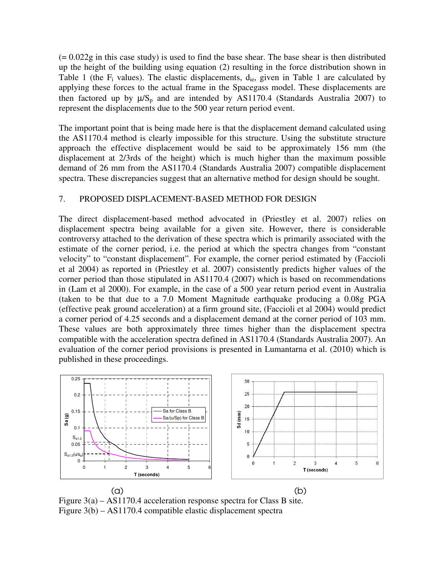$(= 0.022g)$  in this case study) is used to find the base shear. The base shear is then distributed up the height of the building using equation (2) resulting in the force distribution shown in Table 1 (the  $F_i$  values). The elastic displacements,  $d_{ie}$ , given in Table 1 are calculated by applying these forces to the actual frame in the Spacegass model. These displacements are then factored up by  $\mu/S_p$  and are intended by AS1170.4 (Standards Australia 2007) to represent the displacements due to the 500 year return period event.

The important point that is being made here is that the displacement demand calculated using the AS1170.4 method is clearly impossible for this structure. Using the substitute structure approach the effective displacement would be said to be approximately 156 mm (the displacement at 2/3rds of the height) which is much higher than the maximum possible demand of 26 mm from the AS1170.4 (Standards Australia 2007) compatible displacement spectra. These discrepancies suggest that an alternative method for design should be sought.

#### 7. PROPOSED DISPLACEMENT-BASED METHOD FOR DESIGN

The direct displacement-based method advocated in (Priestley et al. 2007) relies on displacement spectra being available for a given site. However, there is considerable controversy attached to the derivation of these spectra which is primarily associated with the estimate of the corner period, i.e. the period at which the spectra changes from "constant velocity" to "constant displacement". For example, the corner period estimated by (Faccioli et al 2004) as reported in (Priestley et al. 2007) consistently predicts higher values of the corner period than those stipulated in AS1170.4 (2007) which is based on recommendations in (Lam et al 2000). For example, in the case of a 500 year return period event in Australia (taken to be that due to a 7.0 Moment Magnitude earthquake producing a 0.08g PGA (effective peak ground acceleration) at a firm ground site, (Faccioli et al 2004) would predict a corner period of 4.25 seconds and a displacement demand at the corner period of 103 mm. These values are both approximately three times higher than the displacement spectra compatible with the acceleration spectra defined in AS1170.4 (Standards Australia 2007). An evaluation of the corner period provisions is presented in Lumantarna et al. (2010) which is published in these proceedings.



Figure 3(a) – AS1170.4 acceleration response spectra for Class B site. Figure 3(b) – AS1170.4 compatible elastic displacement spectra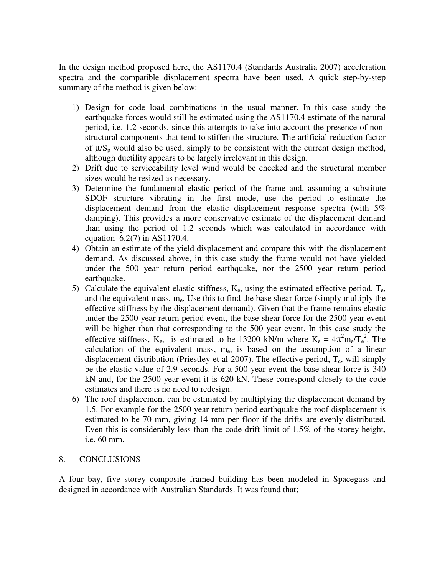In the design method proposed here, the AS1170.4 (Standards Australia 2007) acceleration spectra and the compatible displacement spectra have been used. A quick step-by-step summary of the method is given below:

- 1) Design for code load combinations in the usual manner. In this case study the earthquake forces would still be estimated using the AS1170.4 estimate of the natural period, i.e. 1.2 seconds, since this attempts to take into account the presence of nonstructural components that tend to stiffen the structure. The artificial reduction factor of  $\mu/S_p$  would also be used, simply to be consistent with the current design method, although ductility appears to be largely irrelevant in this design.
- 2) Drift due to serviceability level wind would be checked and the structural member sizes would be resized as necessary.
- 3) Determine the fundamental elastic period of the frame and, assuming a substitute SDOF structure vibrating in the first mode, use the period to estimate the displacement demand from the elastic displacement response spectra (with 5% damping). This provides a more conservative estimate of the displacement demand than using the period of 1.2 seconds which was calculated in accordance with equation 6.2(7) in AS1170.4.
- 4) Obtain an estimate of the yield displacement and compare this with the displacement demand. As discussed above, in this case study the frame would not have yielded under the 500 year return period earthquake, nor the 2500 year return period earthquake.
- 5) Calculate the equivalent elastic stiffness,  $K_e$ , using the estimated effective period,  $T_e$ , and the equivalent mass,  $m_e$ . Use this to find the base shear force (simply multiply the effective stiffness by the displacement demand). Given that the frame remains elastic under the 2500 year return period event, the base shear force for the 2500 year event will be higher than that corresponding to the 500 year event. In this case study the effective stiffness,  $K_e$ , is estimated to be 13200 kN/m where  $K_e = 4\pi^2 m_e / T_e^2$ . The calculation of the equivalent mass, me, is based on the assumption of a linear displacement distribution (Priestley et al 2007). The effective period,  $T_e$ , will simply be the elastic value of 2.9 seconds. For a 500 year event the base shear force is 340 kN and, for the 2500 year event it is 620 kN. These correspond closely to the code estimates and there is no need to redesign.
- 6) The roof displacement can be estimated by multiplying the displacement demand by 1.5. For example for the 2500 year return period earthquake the roof displacement is estimated to be 70 mm, giving 14 mm per floor if the drifts are evenly distributed. Even this is considerably less than the code drift limit of 1.5% of the storey height, i.e. 60 mm.

#### 8. CONCLUSIONS

A four bay, five storey composite framed building has been modeled in Spacegass and designed in accordance with Australian Standards. It was found that;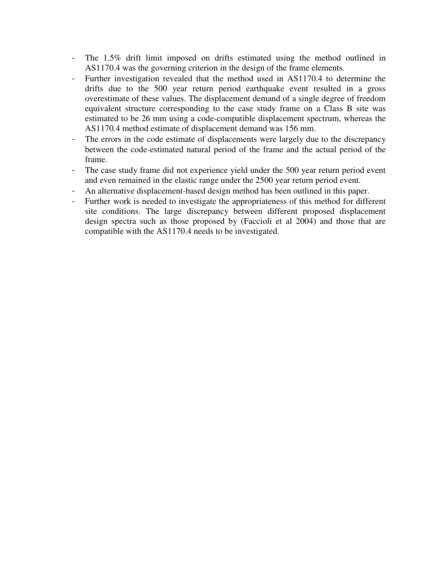- The 1.5% drift limit imposed on drifts estimated using the method outlined in AS1170.4 was the governing criterion in the design of the frame elements.
- Further investigation revealed that the method used in AS1170.4 to determine the drifts due to the 500 year return period earthquake event resulted in a gross overestimate of these values. The displacement demand of a single degree of freedom equivalent structure corresponding to the case study frame on a Class B site was estimated to be 26 mm using a code-compatible displacement spectrum, whereas the AS1170.4 method estimate of displacement demand was 156 mm.
- The errors in the code estimate of displacements were largely due to the discrepancy between the code-estimated natural period of the frame and the actual period of the frame.
- The case study frame did not experience yield under the 500 year return period event and even remained in the elastic range under the 2500 year return period event.
- An alternative displacement-based design method has been outlined in this paper.
- Further work is needed to investigate the appropriateness of this method for different site conditions. The large discrepancy between different proposed displacement design spectra such as those proposed by (Faccioli et al 2004) and those that are compatible with the AS1170.4 needs to be investigated.